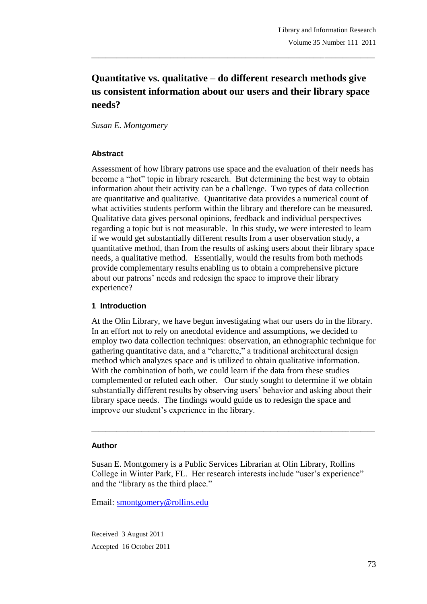# **Quantitative vs. qualitative – do different research methods give us consistent information about our users and their library space needs?**

\_\_\_\_\_\_\_\_\_\_\_\_\_\_\_\_\_\_\_\_\_\_\_\_\_\_\_\_\_\_\_\_\_\_\_\_\_\_\_\_\_\_\_\_\_\_\_\_\_\_\_\_\_\_\_\_\_\_\_\_\_\_\_\_\_\_\_\_\_\_\_\_\_\_\_\_\_\_\_

*Susan E. Montgomery*

#### **Abstract**

Assessment of how library patrons use space and the evaluation of their needs has become a "hot" topic in library research. But determining the best way to obtain information about their activity can be a challenge. Two types of data collection are quantitative and qualitative. Quantitative data provides a numerical count of what activities students perform within the library and therefore can be measured. Qualitative data gives personal opinions, feedback and individual perspectives regarding a topic but is not measurable. In this study, we were interested to learn if we would get substantially different results from a user observation study, a quantitative method, than from the results of asking users about their library space needs, a qualitative method. Essentially, would the results from both methods provide complementary results enabling us to obtain a comprehensive picture about our patrons' needs and redesign the space to improve their library experience?

#### **1 Introduction**

At the Olin Library, we have begun investigating what our users do in the library. In an effort not to rely on anecdotal evidence and assumptions, we decided to employ two data collection techniques: observation, an ethnographic technique for gathering quantitative data, and a "charette," a traditional architectural design method which analyzes space and is utilized to obtain qualitative information. With the combination of both, we could learn if the data from these studies complemented or refuted each other. Our study sought to determine if we obtain substantially different results by observing users' behavior and asking about their library space needs. The findings would guide us to redesign the space and improve our student's experience in the library.

\_\_\_\_\_\_\_\_\_\_\_\_\_\_\_\_\_\_\_\_\_\_\_\_\_\_\_\_\_\_\_\_\_\_\_\_\_\_\_\_\_\_\_\_\_\_\_\_\_\_\_\_\_\_\_\_\_\_\_\_\_\_\_\_\_\_\_\_\_\_\_\_\_\_\_\_\_\_\_

#### **Author**

Susan E. Montgomery is a Public Services Librarian at Olin Library, Rollins College in Winter Park, FL. Her research interests include "user's experience" and the "library as the third place."

Email: smontgomery@rollins.edu

Received 3 August 2011 Accepted 16 October 2011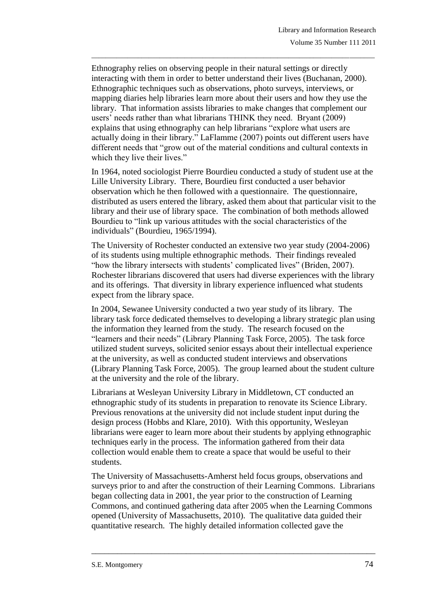Ethnography relies on observing people in their natural settings or directly interacting with them in order to better understand their lives (Buchanan, 2000). Ethnographic techniques such as observations, photo surveys, interviews, or mapping diaries help libraries learn more about their users and how they use the library. That information assists libraries to make changes that complement our users' needs rather than what librarians THINK they need. Bryant (2009) explains that using ethnography can help librarians "explore what users are actually doing in their library." LaFlamme (2007) points out different users have different needs that "grow out of the material conditions and cultural contexts in which they live their lives."

\_\_\_\_\_\_\_\_\_\_\_\_\_\_\_\_\_\_\_\_\_\_\_\_\_\_\_\_\_\_\_\_\_\_\_\_\_\_\_\_\_\_\_\_\_\_\_\_\_\_\_\_\_\_\_\_\_\_\_\_\_\_\_\_\_\_\_\_\_\_\_\_\_\_\_\_\_\_\_

In 1964, noted sociologist Pierre Bourdieu conducted a study of student use at the Lille University Library. There, Bourdieu first conducted a user behavior observation which he then followed with a questionnaire. The questionnaire, distributed as users entered the library, asked them about that particular visit to the library and their use of library space. The combination of both methods allowed Bourdieu to "link up various attitudes with the social characteristics of the individuals" (Bourdieu, 1965/1994).

The University of Rochester conducted an extensive two year study (2004-2006) of its students using multiple ethnographic methods. Their findings revealed "how the library intersects with students' complicated lives" (Briden, 2007). Rochester librarians discovered that users had diverse experiences with the library and its offerings. That diversity in library experience influenced what students expect from the library space.

In 2004, Sewanee University conducted a two year study of its library. The library task force dedicated themselves to developing a library strategic plan using the information they learned from the study. The research focused on the "learners and their needs" (Library Planning Task Force, 2005). The task force utilized student surveys, solicited senior essays about their intellectual experience at the university, as well as conducted student interviews and observations (Library Planning Task Force, 2005). The group learned about the student culture at the university and the role of the library.

Librarians at Wesleyan University Library in Middletown, CT conducted an ethnographic study of its students in preparation to renovate its Science Library. Previous renovations at the university did not include student input during the design process (Hobbs and Klare, 2010). With this opportunity, Wesleyan librarians were eager to learn more about their students by applying ethnographic techniques early in the process. The information gathered from their data collection would enable them to create a space that would be useful to their students.

The University of Massachusetts-Amherst held focus groups, observations and surveys prior to and after the construction of their Learning Commons. Librarians began collecting data in 2001, the year prior to the construction of Learning Commons, and continued gathering data after 2005 when the Learning Commons opened (University of Massachusetts, 2010). The qualitative data guided their quantitative research. The highly detailed information collected gave the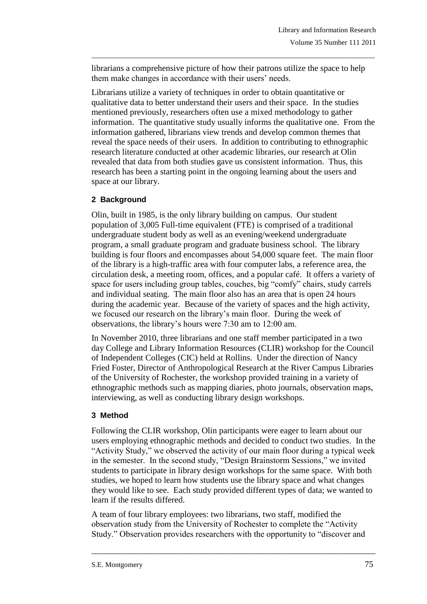librarians a comprehensive picture of how their patrons utilize the space to help them make changes in accordance with their users' needs.

\_\_\_\_\_\_\_\_\_\_\_\_\_\_\_\_\_\_\_\_\_\_\_\_\_\_\_\_\_\_\_\_\_\_\_\_\_\_\_\_\_\_\_\_\_\_\_\_\_\_\_\_\_\_\_\_\_\_\_\_\_\_\_\_\_\_\_\_\_\_\_\_\_\_\_\_\_\_\_

Librarians utilize a variety of techniques in order to obtain quantitative or qualitative data to better understand their users and their space. In the studies mentioned previously, researchers often use a mixed methodology to gather information. The quantitative study usually informs the qualitative one. From the information gathered, librarians view trends and develop common themes that reveal the space needs of their users. In addition to contributing to ethnographic research literature conducted at other academic libraries, our research at Olin revealed that data from both studies gave us consistent information. Thus, this research has been a starting point in the ongoing learning about the users and space at our library.

# **2 Background**

Olin, built in 1985, is the only library building on campus. Our student population of 3,005 Full-time equivalent (FTE) is comprised of a traditional undergraduate student body as well as an evening/weekend undergraduate program, a small graduate program and graduate business school. The library building is four floors and encompasses about 54,000 square feet. The main floor of the library is a high-traffic area with four computer labs, a reference area, the circulation desk, a meeting room, offices, and a popular café. It offers a variety of space for users including group tables, couches, big "comfy" chairs, study carrels and individual seating. The main floor also has an area that is open 24 hours during the academic year. Because of the variety of spaces and the high activity, we focused our research on the library's main floor. During the week of observations, the library's hours were 7:30 am to 12:00 am.

In November 2010, three librarians and one staff member participated in a two day College and Library Information Resources (CLIR) workshop for the Council of Independent Colleges (CIC) held at Rollins. Under the direction of Nancy Fried Foster, Director of Anthropological Research at the River Campus Libraries of the University of Rochester, the workshop provided training in a variety of ethnographic methods such as mapping diaries, photo journals, observation maps, interviewing, as well as conducting library design workshops.

# **3 Method**

Following the CLIR workshop, Olin participants were eager to learn about our users employing ethnographic methods and decided to conduct two studies. In the "Activity Study," we observed the activity of our main floor during a typical week in the semester. In the second study, "Design Brainstorm Sessions," we invited students to participate in library design workshops for the same space. With both studies, we hoped to learn how students use the library space and what changes they would like to see. Each study provided different types of data; we wanted to learn if the results differed.

A team of four library employees: two librarians, two staff, modified the observation study from the University of Rochester to complete the "Activity Study." Observation provides researchers with the opportunity to "discover and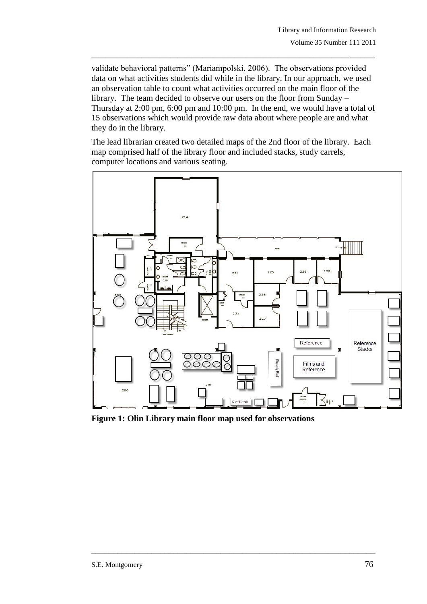validate behavioral patterns" (Mariampolski, 2006). The observations provided data on what activities students did while in the library. In our approach, we used an observation table to count what activities occurred on the main floor of the library. The team decided to observe our users on the floor from Sunday – Thursday at 2:00 pm, 6:00 pm and 10:00 pm. In the end, we would have a total of 15 observations which would provide raw data about where people are and what they do in the library.

\_\_\_\_\_\_\_\_\_\_\_\_\_\_\_\_\_\_\_\_\_\_\_\_\_\_\_\_\_\_\_\_\_\_\_\_\_\_\_\_\_\_\_\_\_\_\_\_\_\_\_\_\_\_\_\_\_\_\_\_\_\_\_\_\_\_\_\_\_\_\_\_\_\_\_\_\_\_\_

The lead librarian created two detailed maps of the 2nd floor of the library. Each map comprised half of the library floor and included stacks, study carrels, computer locations and various seating.



**Figure 1: Olin Library main floor map used for observations**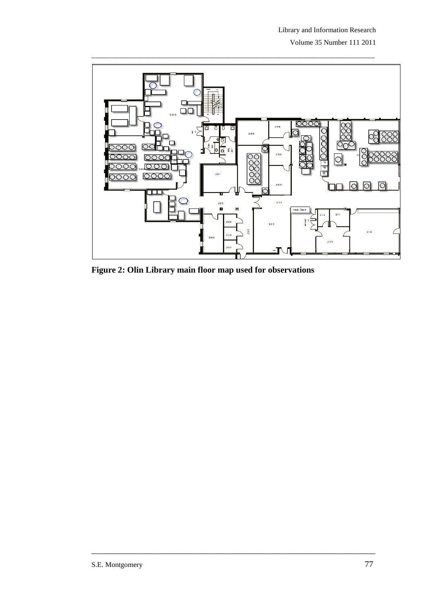Volume 35 Number 111 2011



**Figure 2: Olin Library main floor map used for observations**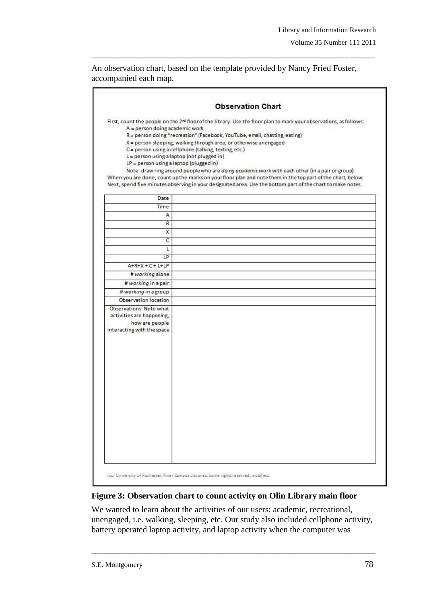An observation chart, based on the template provided by Nancy Fried Foster, accompanied each map.

\_\_\_\_\_\_\_\_\_\_\_\_\_\_\_\_\_\_\_\_\_\_\_\_\_\_\_\_\_\_\_\_\_\_\_\_\_\_\_\_\_\_\_\_\_\_\_\_\_\_\_\_\_\_\_\_\_\_\_\_\_\_\_\_\_\_\_\_\_\_\_\_\_\_\_\_\_\_\_

| A = person doing academic work<br>$L = p$ erson using a laptop (not plugged in)<br>LP = person using a laptop (plugged in) | R = person doing "recreation" (Facebook, YouTube, email, chatting, eating)<br>X = person sleeping, walking through area, or otherwise unengaged<br>C = person using a cellphone (talking, texting, etc.)<br>Note: draw ring around people who are doing academic work with each other (in a pair or group)<br>When you are done, count up the marks on your floor plan and note them in the top part of the chart, below. | First, count the people on the 2 <sup>nd</sup> floor of the library. Use the floor plan to mark your observations, as follows: |
|----------------------------------------------------------------------------------------------------------------------------|---------------------------------------------------------------------------------------------------------------------------------------------------------------------------------------------------------------------------------------------------------------------------------------------------------------------------------------------------------------------------------------------------------------------------|--------------------------------------------------------------------------------------------------------------------------------|
|                                                                                                                            |                                                                                                                                                                                                                                                                                                                                                                                                                           |                                                                                                                                |
|                                                                                                                            |                                                                                                                                                                                                                                                                                                                                                                                                                           | Next, spend five minutes observing in your designated area. Use the bottom part of the chart to make notes.                    |
| Date                                                                                                                       |                                                                                                                                                                                                                                                                                                                                                                                                                           |                                                                                                                                |
| Time                                                                                                                       |                                                                                                                                                                                                                                                                                                                                                                                                                           |                                                                                                                                |
| A                                                                                                                          |                                                                                                                                                                                                                                                                                                                                                                                                                           |                                                                                                                                |
| R                                                                                                                          |                                                                                                                                                                                                                                                                                                                                                                                                                           |                                                                                                                                |
| X                                                                                                                          |                                                                                                                                                                                                                                                                                                                                                                                                                           |                                                                                                                                |
| C                                                                                                                          |                                                                                                                                                                                                                                                                                                                                                                                                                           |                                                                                                                                |
| L                                                                                                                          |                                                                                                                                                                                                                                                                                                                                                                                                                           |                                                                                                                                |
| LP                                                                                                                         |                                                                                                                                                                                                                                                                                                                                                                                                                           |                                                                                                                                |
| $A+R+X+C+L+LP$                                                                                                             |                                                                                                                                                                                                                                                                                                                                                                                                                           |                                                                                                                                |
| # working alone                                                                                                            |                                                                                                                                                                                                                                                                                                                                                                                                                           |                                                                                                                                |
| # working in a pair                                                                                                        |                                                                                                                                                                                                                                                                                                                                                                                                                           |                                                                                                                                |
| # working in a group                                                                                                       |                                                                                                                                                                                                                                                                                                                                                                                                                           |                                                                                                                                |
| Observation location                                                                                                       |                                                                                                                                                                                                                                                                                                                                                                                                                           |                                                                                                                                |
| Observations: Note what<br>activities are happening,<br>how are people<br>interacting with the space                       |                                                                                                                                                                                                                                                                                                                                                                                                                           |                                                                                                                                |

#### **Figure 3: Observation chart to count activity on Olin Library main floor**

We wanted to learn about the activities of our users: academic, recreational, unengaged, i.e. walking, sleeping, etc. Our study also included cellphone activity, battery operated laptop activity, and laptop activity when the computer was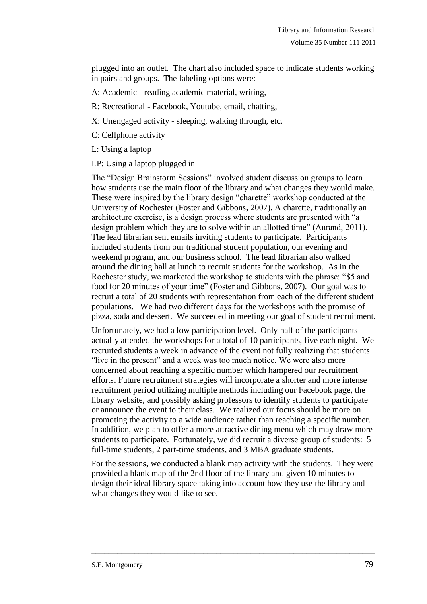plugged into an outlet. The chart also included space to indicate students working in pairs and groups. The labeling options were:

\_\_\_\_\_\_\_\_\_\_\_\_\_\_\_\_\_\_\_\_\_\_\_\_\_\_\_\_\_\_\_\_\_\_\_\_\_\_\_\_\_\_\_\_\_\_\_\_\_\_\_\_\_\_\_\_\_\_\_\_\_\_\_\_\_\_\_\_\_\_\_\_\_\_\_\_\_\_\_

- A: Academic reading academic material, writing,
- R: Recreational Facebook, Youtube, email, chatting,
- X: Unengaged activity sleeping, walking through, etc.
- C: Cellphone activity
- L: Using a laptop
- LP: Using a laptop plugged in

The "Design Brainstorm Sessions" involved student discussion groups to learn how students use the main floor of the library and what changes they would make. These were inspired by the library design "charette" workshop conducted at the University of Rochester (Foster and Gibbons, 2007). A charette, traditionally an architecture exercise, is a design process where students are presented with "a design problem which they are to solve within an allotted time" (Aurand, 2011). The lead librarian sent emails inviting students to participate. Participants included students from our traditional student population, our evening and weekend program, and our business school. The lead librarian also walked around the dining hall at lunch to recruit students for the workshop. As in the Rochester study, we marketed the workshop to students with the phrase: "\$5 and food for 20 minutes of your time" (Foster and Gibbons, 2007). Our goal was to recruit a total of 20 students with representation from each of the different student populations. We had two different days for the workshops with the promise of pizza, soda and dessert. We succeeded in meeting our goal of student recruitment.

Unfortunately, we had a low participation level. Only half of the participants actually attended the workshops for a total of 10 participants, five each night. We recruited students a week in advance of the event not fully realizing that students "live in the present" and a week was too much notice. We were also more concerned about reaching a specific number which hampered our recruitment efforts. Future recruitment strategies will incorporate a shorter and more intense recruitment period utilizing multiple methods including our Facebook page, the library website, and possibly asking professors to identify students to participate or announce the event to their class. We realized our focus should be more on promoting the activity to a wide audience rather than reaching a specific number. In addition, we plan to offer a more attractive dining menu which may draw more students to participate. Fortunately, we did recruit a diverse group of students: 5 full-time students, 2 part-time students, and 3 MBA graduate students.

For the sessions, we conducted a blank map activity with the students. They were provided a blank map of the 2nd floor of the library and given 10 minutes to design their ideal library space taking into account how they use the library and what changes they would like to see.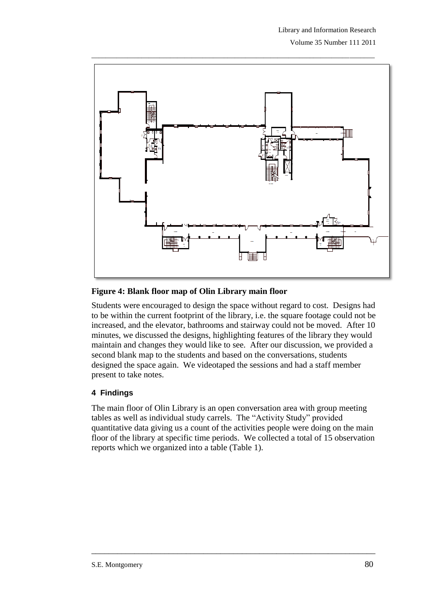Volume 35 Number 111 2011



\_\_\_\_\_\_\_\_\_\_\_\_\_\_\_\_\_\_\_\_\_\_\_\_\_\_\_\_\_\_\_\_\_\_\_\_\_\_\_\_\_\_\_\_\_\_\_\_\_\_\_\_\_\_\_\_\_\_\_\_\_\_\_\_\_\_\_\_\_\_\_\_\_\_\_\_\_\_\_

## **Figure 4: Blank floor map of Olin Library main floor**

Students were encouraged to design the space without regard to cost. Designs had to be within the current footprint of the library, i.e. the square footage could not be increased, and the elevator, bathrooms and stairway could not be moved. After 10 minutes, we discussed the designs, highlighting features of the library they would maintain and changes they would like to see. After our discussion, we provided a second blank map to the students and based on the conversations, students designed the space again. We videotaped the sessions and had a staff member present to take notes.

# **4 Findings**

The main floor of Olin Library is an open conversation area with group meeting tables as well as individual study carrels. The "Activity Study" provided quantitative data giving us a count of the activities people were doing on the main floor of the library at specific time periods. We collected a total of 15 observation reports which we organized into a table (Table 1).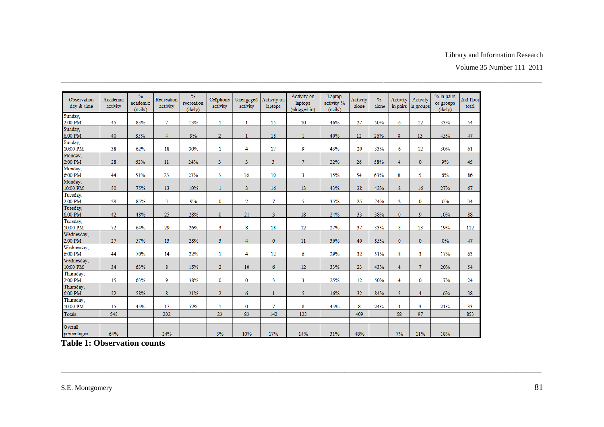#### Library and Information Research

| Observation<br>day & time | Academic<br>activity | $\frac{9}{6}$<br>academic<br>(daily) | Recreation<br>activity | $\frac{9}{6}$<br>recreation<br>(daily) | Cellphone<br>activity | Unengaged<br>activity | Activity on<br>laptops | Activity on<br>laptops<br>(plugged in) | Laptop<br>activity %<br>(daiiv) | Activity<br>alone | $\frac{0}{6}$<br>alone | Activity<br>in pairs | Activity<br>in groups | % in pairs<br>or groups<br>(daily) | 2nd floor<br>total |
|---------------------------|----------------------|--------------------------------------|------------------------|----------------------------------------|-----------------------|-----------------------|------------------------|----------------------------------------|---------------------------------|-------------------|------------------------|----------------------|-----------------------|------------------------------------|--------------------|
| Sunday,<br>2:00 PM        | 45                   | 83%                                  | $\tau$                 | 13%                                    | 1                     | 1                     | 15                     | 10                                     | 46%                             | 27                | 50%                    | 6                    | 12                    | 33%                                | 54                 |
| Sunday,<br>6:00 PM        | 40                   | 85%                                  | $\overline{4}$         | 9%                                     | $\overline{2}$        | $\mathbf{1}$          | 18                     | $\mathbf{1}$                           | 40%                             | 12                | 26%                    | 8                    | 13                    | 45%                                | 47                 |
| Sunday,<br>10:00 PM       | 38                   | 62%                                  | 18                     | 30%                                    | 1                     | 4                     | 17                     | 9                                      | 43%                             | 20                | 33%                    | 6                    | 12                    | 30%                                | 61                 |
| Monday,<br>2:00 PM        | 28                   | 62%                                  | 11                     | 24%                                    | 3                     | 3                     | 3                      | $\tau$                                 | 22%                             | 26                | 58%                    | 4                    | $\mathbf{0}$          | 9%                                 | 45                 |
| Monday,<br>6:00 PM        | 44                   | 51%                                  | 23                     | 27%                                    | 3                     | 16                    | 10                     | 3                                      | 15%                             | 54                | 63%                    | 0                    | 5                     | 6%                                 | 86                 |
| Monday,<br>10:00 PM       | 50                   | 75%                                  | 13                     | 19%                                    | $\mathbf{1}$          | 3                     | 16                     | 13                                     | 43%                             | 28                | 42%                    | $\overline{2}$       | 16                    | 27%                                | 67                 |
| Tuesday,<br>2:00 PM       | 29                   | 85%                                  | 3                      | 9%                                     | $\bf{0}$              | $\overline{2}$        | $\tau$                 | 5                                      | 35%                             | 25                | 74%                    | $\overline{2}$       | 0                     | 6%                                 | 34                 |
| Tuesday,<br>6:00 PM       | 42                   | 48%                                  | 25                     | 28%                                    | $\mathbf{0}$          | 21                    | $\overline{3}$         | 18                                     | 24%                             | 33                | 38%                    | $\mathbf{0}$         | $\mathbf{Q}$          | 10%                                | 88                 |
| Tuesday,<br>10:00 PM      | 72                   | 64%                                  | 29                     | 26%                                    | 3                     | 8                     | 18                     | 12                                     | 27%                             | 37                | 33%                    | 8                    | 13                    | 19%                                | 112                |
| Wednesday,<br>2:00 PM     | 27                   | 57%                                  | 13                     | 28%                                    | 3                     | 4                     | 6                      | 11                                     | 36%                             | 40                | 85%                    | $\mathbf{0}$         | $\mathbf{0}$          | 0%                                 | 47                 |
| Wednesday,<br>6:00 PM     | 44                   | 70%                                  | 14                     | 22%                                    | 1                     | 4                     | 12                     | 6                                      | 29%                             | 32                | 51%                    | 8                    | 3                     | 17%                                | 63                 |
| Wednesday,<br>10:00 PM    | 34                   | 63%                                  | 8                      | 15%                                    | $\overline{2}$        | 10                    | $\boldsymbol{6}$       | 12                                     | 33%                             | 23                | 43%                    | $\overline{4}$       | $\overline{7}$        | 20%                                | 54                 |
| Thursday,<br>2:00 PM      | 15                   | 63%                                  | 9                      | 38%                                    | $\bf{0}$              | $\mathbf 0$           | $\overline{3}$         | 3                                      | 25%                             | 12                | 50%                    | 4                    | $\mathbf 0$           | 17%                                | 24                 |
| Thursday,<br>6:00 PM      | 22                   | 58%                                  | 8                      | 21%                                    | $\overline{2}$        | 6                     | $\mathbf{1}$           | 5                                      | 16%                             | 32                | 84%                    | $\overline{2}$       | $\overline{4}$        | 16%                                | 38                 |
| Thursday,<br>10:00 PM     | 15                   | 45%                                  | 17                     | 52%                                    | 1                     | $\mathbf 0$           | $\tau$                 | 8                                      | 45%                             | 8                 | 24%                    | 4                    | 3                     | 21%                                | 33                 |
| <b>Totals</b>             | 545                  |                                      | 202                    |                                        | 23                    | 83                    | 142                    | 123                                    |                                 | 409               |                        | 58                   | 97                    |                                    | 853                |
| Overall<br>percentages    | 64%                  |                                      | 24%                    |                                        | 3%                    | 10%                   | 17%                    | 14%                                    | 31%                             | 48%               |                        | 7%                   | 11%                   | 18%                                |                    |

**Table 1: Observation counts**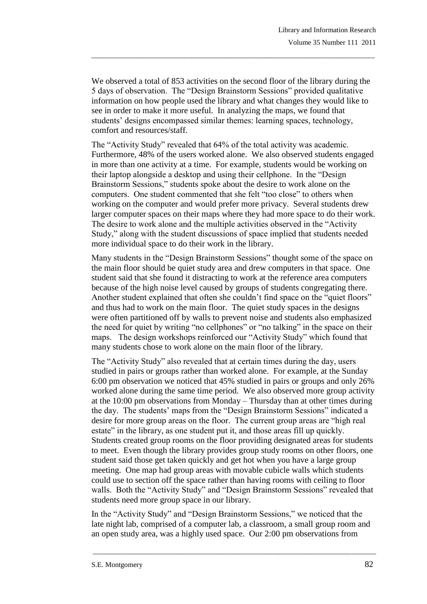We observed a total of 853 activities on the second floor of the library during the 5 days of observation. The "Design Brainstorm Sessions" provided qualitative information on how people used the library and what changes they would like to see in order to make it more useful. In analyzing the maps, we found that students' designs encompassed similar themes: learning spaces, technology, comfort and resources/staff.

\_\_\_\_\_\_\_\_\_\_\_\_\_\_\_\_\_\_\_\_\_\_\_\_\_\_\_\_\_\_\_\_\_\_\_\_\_\_\_\_\_\_\_\_\_\_\_\_\_\_\_\_\_\_\_\_\_\_\_\_\_\_\_\_\_\_\_\_\_\_\_\_\_\_\_\_\_\_\_

The "Activity Study" revealed that 64% of the total activity was academic. Furthermore, 48% of the users worked alone. We also observed students engaged in more than one activity at a time. For example, students would be working on their laptop alongside a desktop and using their cellphone. In the "Design Brainstorm Sessions," students spoke about the desire to work alone on the computers. One student commented that she felt "too close" to others when working on the computer and would prefer more privacy. Several students drew larger computer spaces on their maps where they had more space to do their work. The desire to work alone and the multiple activities observed in the "Activity Study," along with the student discussions of space implied that students needed more individual space to do their work in the library.

Many students in the "Design Brainstorm Sessions" thought some of the space on the main floor should be quiet study area and drew computers in that space. One student said that she found it distracting to work at the reference area computers because of the high noise level caused by groups of students congregating there. Another student explained that often she couldn't find space on the "quiet floors" and thus had to work on the main floor. The quiet study spaces in the designs were often partitioned off by walls to prevent noise and students also emphasized the need for quiet by writing "no cellphones" or "no talking" in the space on their maps. The design workshops reinforced our "Activity Study" which found that many students chose to work alone on the main floor of the library.

The "Activity Study" also revealed that at certain times during the day, users studied in pairs or groups rather than worked alone. For example, at the Sunday 6:00 pm observation we noticed that 45% studied in pairs or groups and only 26% worked alone during the same time period. We also observed more group activity at the 10:00 pm observations from Monday – Thursday than at other times during the day. The students' maps from the "Design Brainstorm Sessions" indicated a desire for more group areas on the floor. The current group areas are "high real estate" in the library, as one student put it, and those areas fill up quickly. Students created group rooms on the floor providing designated areas for students to meet. Even though the library provides group study rooms on other floors, one student said those get taken quickly and get hot when you have a large group meeting. One map had group areas with movable cubicle walls which students could use to section off the space rather than having rooms with ceiling to floor walls. Both the "Activity Study" and "Design Brainstorm Sessions" revealed that students need more group space in our library.

In the "Activity Study" and "Design Brainstorm Sessions," we noticed that the late night lab, comprised of a computer lab, a classroom, a small group room and an open study area, was a highly used space. Our 2:00 pm observations from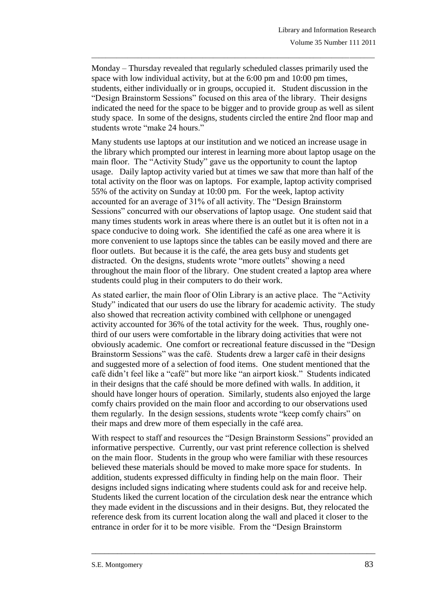Monday – Thursday revealed that regularly scheduled classes primarily used the space with low individual activity, but at the 6:00 pm and 10:00 pm times, students, either individually or in groups, occupied it. Student discussion in the "Design Brainstorm Sessions" focused on this area of the library. Their designs indicated the need for the space to be bigger and to provide group as well as silent study space. In some of the designs, students circled the entire 2nd floor map and students wrote "make 24 hours."

\_\_\_\_\_\_\_\_\_\_\_\_\_\_\_\_\_\_\_\_\_\_\_\_\_\_\_\_\_\_\_\_\_\_\_\_\_\_\_\_\_\_\_\_\_\_\_\_\_\_\_\_\_\_\_\_\_\_\_\_\_\_\_\_\_\_\_\_\_\_\_\_\_\_\_\_\_\_\_

Many students use laptops at our institution and we noticed an increase usage in the library which prompted our interest in learning more about laptop usage on the main floor. The "Activity Study" gave us the opportunity to count the laptop usage. Daily laptop activity varied but at times we saw that more than half of the total activity on the floor was on laptops. For example, laptop activity comprised 55% of the activity on Sunday at 10:00 pm. For the week, laptop activity accounted for an average of 31% of all activity. The "Design Brainstorm Sessions" concurred with our observations of laptop usage. One student said that many times students work in areas where there is an outlet but it is often not in a space conducive to doing work. She identified the café as one area where it is more convenient to use laptops since the tables can be easily moved and there are floor outlets. But because it is the café, the area gets busy and students get distracted. On the designs, students wrote "more outlets" showing a need throughout the main floor of the library. One student created a laptop area where students could plug in their computers to do their work.

As stated earlier, the main floor of Olin Library is an active place. The "Activity Study" indicated that our users do use the library for academic activity. The study also showed that recreation activity combined with cellphone or unengaged activity accounted for 36% of the total activity for the week. Thus, roughly onethird of our users were comfortable in the library doing activities that were not obviously academic. One comfort or recreational feature discussed in the "Design Brainstorm Sessions" was the café. Students drew a larger café in their designs and suggested more of a selection of food items. One student mentioned that the café didn't feel like a "café" but more like "an airport kiosk." Students indicated in their designs that the café should be more defined with walls. In addition, it should have longer hours of operation. Similarly, students also enjoyed the large comfy chairs provided on the main floor and according to our observations used them regularly. In the design sessions, students wrote "keep comfy chairs" on their maps and drew more of them especially in the café area.

With respect to staff and resources the "Design Brainstorm Sessions" provided an informative perspective. Currently, our vast print reference collection is shelved on the main floor. Students in the group who were familiar with these resources believed these materials should be moved to make more space for students. In addition, students expressed difficulty in finding help on the main floor. Their designs included signs indicating where students could ask for and receive help. Students liked the current location of the circulation desk near the entrance which they made evident in the discussions and in their designs. But, they relocated the reference desk from its current location along the wall and placed it closer to the entrance in order for it to be more visible. From the "Design Brainstorm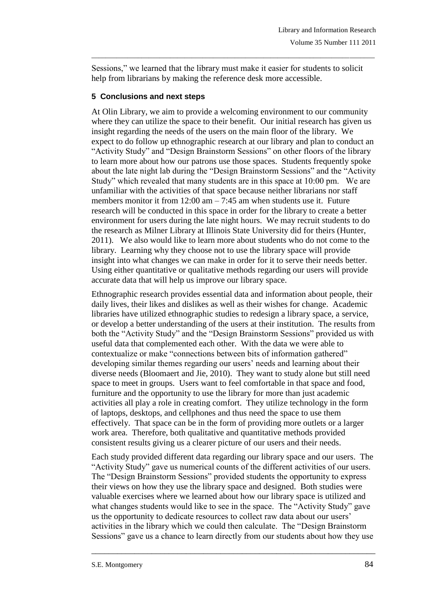Sessions," we learned that the library must make it easier for students to solicit help from librarians by making the reference desk more accessible.

\_\_\_\_\_\_\_\_\_\_\_\_\_\_\_\_\_\_\_\_\_\_\_\_\_\_\_\_\_\_\_\_\_\_\_\_\_\_\_\_\_\_\_\_\_\_\_\_\_\_\_\_\_\_\_\_\_\_\_\_\_\_\_\_\_\_\_\_\_\_\_\_\_\_\_\_\_\_\_

## **5 Conclusions and next steps**

At Olin Library, we aim to provide a welcoming environment to our community where they can utilize the space to their benefit. Our initial research has given us insight regarding the needs of the users on the main floor of the library. We expect to do follow up ethnographic research at our library and plan to conduct an "Activity Study" and "Design Brainstorm Sessions" on other floors of the library to learn more about how our patrons use those spaces. Students frequently spoke about the late night lab during the "Design Brainstorm Sessions" and the "Activity Study" which revealed that many students are in this space at 10:00 pm. We are unfamiliar with the activities of that space because neither librarians nor staff members monitor it from  $12:00$  am  $-7:45$  am when students use it. Future research will be conducted in this space in order for the library to create a better environment for users during the late night hours. We may recruit students to do the research as Milner Library at Illinois State University did for theirs (Hunter, 2011). We also would like to learn more about students who do not come to the library. Learning why they choose not to use the library space will provide insight into what changes we can make in order for it to serve their needs better. Using either quantitative or qualitative methods regarding our users will provide accurate data that will help us improve our library space.

Ethnographic research provides essential data and information about people, their daily lives, their likes and dislikes as well as their wishes for change. Academic libraries have utilized ethnographic studies to redesign a library space, a service, or develop a better understanding of the users at their institution. The results from both the "Activity Study" and the "Design Brainstorm Sessions" provided us with useful data that complemented each other. With the data we were able to contextualize or make "connections between bits of information gathered" developing similar themes regarding our users' needs and learning about their diverse needs (Bloomaert and Jie, 2010). They want to study alone but still need space to meet in groups. Users want to feel comfortable in that space and food, furniture and the opportunity to use the library for more than just academic activities all play a role in creating comfort. They utilize technology in the form of laptops, desktops, and cellphones and thus need the space to use them effectively. That space can be in the form of providing more outlets or a larger work area. Therefore, both qualitative and quantitative methods provided consistent results giving us a clearer picture of our users and their needs.

Each study provided different data regarding our library space and our users. The "Activity Study" gave us numerical counts of the different activities of our users. The "Design Brainstorm Sessions" provided students the opportunity to express their views on how they use the library space and designed. Both studies were valuable exercises where we learned about how our library space is utilized and what changes students would like to see in the space. The "Activity Study" gave us the opportunity to dedicate resources to collect raw data about our users' activities in the library which we could then calculate. The "Design Brainstorm Sessions" gave us a chance to learn directly from our students about how they use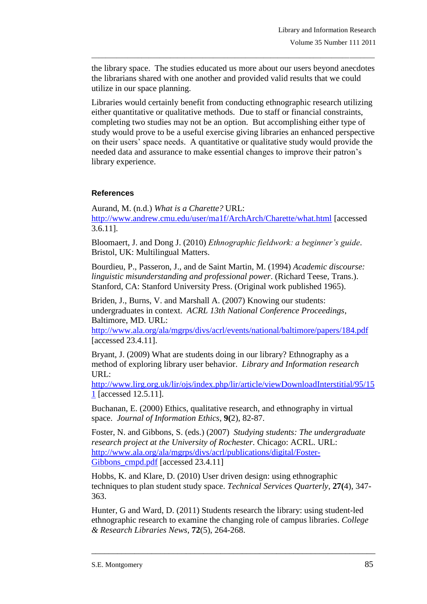the library space. The studies educated us more about our users beyond anecdotes the librarians shared with one another and provided valid results that we could utilize in our space planning.

\_\_\_\_\_\_\_\_\_\_\_\_\_\_\_\_\_\_\_\_\_\_\_\_\_\_\_\_\_\_\_\_\_\_\_\_\_\_\_\_\_\_\_\_\_\_\_\_\_\_\_\_\_\_\_\_\_\_\_\_\_\_\_\_\_\_\_\_\_\_\_\_\_\_\_\_\_\_\_

Libraries would certainly benefit from conducting ethnographic research utilizing either quantitative or qualitative methods. Due to staff or financial constraints, completing two studies may not be an option. But accomplishing either type of study would prove to be a useful exercise giving libraries an enhanced perspective on their users' space needs. A quantitative or qualitative study would provide the needed data and assurance to make essential changes to improve their patron's library experience.

## **References**

Aurand, M. (n.d.) *What is a Charette?* URL: <http://www.andrew.cmu.edu/user/ma1f/ArchArch/Charette/what.html> [accessed 3.6.11].

Bloomaert, J. and Dong J. (2010) *Ethnographic fieldwork: a beginner's guide*. Bristol, UK: Multilingual Matters.

Bourdieu, P., Passeron, J., and de Saint Martin, M. (1994) *Academic discourse: linguistic misunderstanding and professional power*. (Richard Teese, Trans.). Stanford, CA: Stanford University Press. (Original work published 1965).

Briden, J., Burns, V. and Marshall A. (2007) Knowing our students: undergraduates in context. *ACRL 13th National Conference Proceedings*, Baltimore, MD. URL:

<http://www.ala.org/ala/mgrps/divs/acrl/events/national/baltimore/papers/184.pdf> [accessed 23.4.11].

Bryant, J. (2009) What are students doing in our library? Ethnography as a method of exploring library user behavior. *Library and Information research* URL:

[http://www.lirg.org.uk/lir/ojs/index.php/lir/article/viewDownloadInterstitial/95/15](http://www.lirg.org.uk/lir/ojs/index.php/lir/article/viewDownloadInterstitial/95/151) [1](http://www.lirg.org.uk/lir/ojs/index.php/lir/article/viewDownloadInterstitial/95/151) [accessed 12.5.11].

Buchanan, E. (2000) Ethics, qualitative research, and ethnography in virtual space. *Journal of Information Ethics*, **9(**2), 82-87.

Foster, N. and Gibbons, S. (eds.) (2007) *Studying students: The undergraduate research project at the University of Rochester.* Chicago: ACRL. URL: [http://www.ala.org/ala/mgrps/divs/acrl/publications/digital/Foster-](http://www.ala.org/ala/mgrps/divs/acrl/publications/digital/Foster-Gibbons_cmpd.pdf)Gibbons cmpd.pdf [accessed 23.4.11]

Hobbs, K. and Klare, D. (2010) User driven design: using ethnographic techniques to plan student study space. *Technical Services Quarterly*, **27(**4), 347- 363.

Hunter, G and Ward, D. (2011) Students research the library: using student-led ethnographic research to examine the changing role of campus libraries. *College & Research Libraries News*, **72**(5), 264-268.